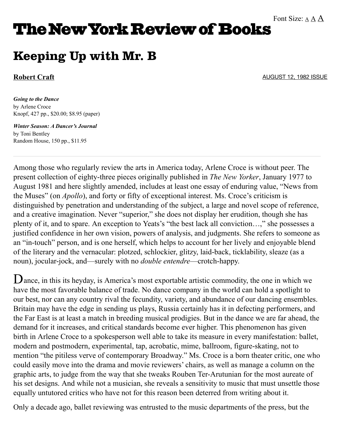## **The New York Review of Books**

## Keeping Up with Mr. B

## **[Robert Craft](http://www.nybooks.com/contributors/robert-craft/)**

[AUGUST 12, 1982 ISSUE](http://www.nybooks.com/issues/1982/aug/12/)

*Going to the Dance* by Arlene Croce Knopf, 427 pp., \$20.00; \$8.95 (paper)

*[Winter Season: A Dancer's Journal](http://www.amazon.com/gp/product/0394723988?ie=UTF8&tag=thneyoreofbo-20&linkCode=as2&camp=1789&creative=9325&creativeASIN=0394723988)* by Toni Bentley Random House, 150 pp., \$11.95

Among those who regularly review the arts in America today, Arlene Croce is without peer. The present collection of eighty-three pieces originally published in *The New Yorker*, January 1977 to August 1981 and here slightly amended, includes at least one essay of enduring value, "News from the Muses" (on *Apollo*), and forty or fifty of exceptional interest. Ms. Croce's criticism is distinguished by penetration and understanding of the subject, a large and novel scope of reference, and a creative imagination. Never "superior," she does not display her erudition, though she has plenty of it, and to spare. An exception to Yeats's "the best lack all conviction…," she possesses a justified confidence in her own vision, powers of analysis, and judgments. She refers to someone as an "in-touch" person, and is one herself, which helps to account for her lively and enjoyable blend of the literary and the vernacular: plotzed, schlockier, glitzy, laid-back, ticklability, sleaze (as a noun), jocular-jock, and—surely with no *double entendre*—crotch-happy.

D ance, in this its heyday, is America's most exportable artistic commodity, the one in which we have the most favorable balance of trade. No dance company in the world can hold a spotlight to our best, nor can any country rival the fecundity, variety, and abundance of our dancing ensembles. Britain may have the edge in sending us plays, Russia certainly has it in defecting performers, and the Far East is at least a match in breeding musical prodigies. But in the dance we are far ahead, the demand for it increases, and critical standards become ever higher. This phenomenon has given birth in Arlene Croce to a spokesperson well able to take its measure in every manifestation: ballet, modern and postmodern, experimental, tap, acrobatic, mime, ballroom, figure-skating, not to mention "the pitiless verve of contemporary Broadway." Ms. Croce is a born theater critic, one who could easily move into the drama and movie reviewers' chairs, as well as manage a column on the graphic arts, to judge from the way that she tweaks Rouben Ter-Arutunian for the most aureate of his set designs. And while not a musician, she reveals a sensitivity to music that must unsettle those equally untutored critics who have not for this reason been deterred from writing about it.

Only a decade ago, ballet reviewing was entrusted to the music departments of the press, but the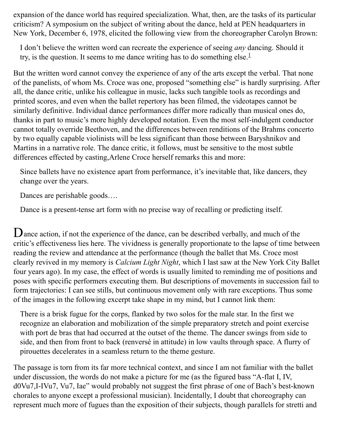expansion of the dance world has required specialization. What, then, are the tasks of its particular criticism? A symposium on the subject of writing about the dance, held at PEN headquarters in New York, December 6, 1978, elicited the following view from the choreographer Carolyn Brown:

I don't believe the written word can recreate the experience of seeing *any* dancing. Should it try, is the question. It seems to me dance writing has to do something else. $<sup>1</sup>$  $<sup>1</sup>$  $<sup>1</sup>$ </sup>

But the written word cannot convey the experience of any of the arts except the verbal. That none of the panelists, of whom Ms. Croce was one, proposed "something else" is hardly surprising. After all, the dance critic, unlike his colleague in music, lacks such tangible tools as recordings and printed scores, and even when the ballet repertory has been filmed, the videotapes cannot be similarly definitive. Individual dance performances differ more radically than musical ones do, thanks in part to music's more highly developed notation. Even the most self-indulgent conductor cannot totally override Beethoven, and the differences between renditions of the Brahms concerto by two equally capable violinists will be less significant than those between Baryshnikov and Martins in a narrative role. The dance critic, it follows, must be sensitive to the most subtle differences effected by casting,Arlene Croce herself remarks this and more:

Since ballets have no existence apart from performance, it's inevitable that, like dancers, they change over the years.

Dances are perishable goods….

Dance is a present-tense art form with no precise way of recalling or predicting itself.

D ance action, if not the experience of the dance, can be described verbally, and much of the critic's effectiveness lies here. The vividness is generally proportionate to the lapse of time between reading the review and attendance at the performance (though the ballet that Ms. Croce most clearly revived in my memory is *Calcium Light Night*, which I last saw at the New York City Ballet four years ago). In my case, the effect of words is usually limited to reminding me of positions and poses with specific performers executing them. But descriptions of movements in succession fail to form trajectories: I can see stills, but continuous movement only with rare exceptions. Thus some of the images in the following excerpt take shape in my mind, but I cannot link them:

There is a brisk fugue for the corps, flanked by two solos for the male star. In the first we recognize an elaboration and mobilization of the simple preparatory stretch and point exercise with port de bras that had occurred at the outset of the theme. The dancer swings from side to side, and then from front to back (renversé in attitude) in low vaults through space. A flurry of pirouettes decelerates in a seamless return to the theme gesture.

The passage is torn from its far more technical context, and since I am not familiar with the ballet under discussion, the words do not make a picture for me (as the figured bass "A-flat I, IV, d0Vu7,I-IVu7, Vu7, Iae" would probably not suggest the first phrase of one of Bach's best-known chorales to anyone except a professional musician). Incidentally, I doubt that choreography can represent much more of fugues than the exposition of their subjects, though parallels for stretti and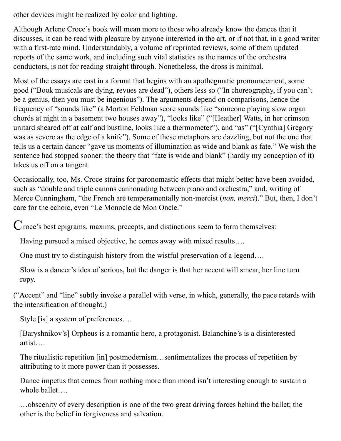other devices might be realized by color and lighting.

Although Arlene Croce's book will mean more to those who already know the dances that it discusses, it can be read with pleasure by anyone interested in the art, or if not that, in a good writer with a first-rate mind. Understandably, a volume of reprinted reviews, some of them updated reports of the same work, and including such vital statistics as the names of the orchestra conductors, is not for reading straight through. Nonetheless, the dross is minimal.

Most of the essays are cast in a format that begins with an apothegmatic pronouncement, some good ("Book musicals are dying, revues are dead"), others less so ("In choreography, if you can't be a genius, then you must be ingenious"). The arguments depend on comparisons, hence the frequency of "sounds like" (a Morton Feldman score sounds like "someone playing slow organ chords at night in a basement two houses away"), "looks like" ("[Heather] Watts, in her crimson unitard sheared off at calf and bustline, looks like a thermometer"), and "as" ("[Cynthia] Gregory was as severe as the edge of a knife"). Some of these metaphors are dazzling, but not the one that tells us a certain dancer "gave us moments of illumination as wide and blank as fate." We wish the sentence had stopped sooner: the theory that "fate is wide and blank" (hardly my conception of it) takes us off on a tangent.

Occasionally, too, Ms. Croce strains for paronomastic effects that might better have been avoided, such as "double and triple canons cannonading between piano and orchestra," and, writing of Merce Cunningham, "the French are temperamentally non-mercist (*non, merci*)." But, then, I don't care for the echoic, even "Le Monocle de Mon Oncle."

C roce's best epigrams, maxims, precepts, and distinctions seem to form themselves:

Having pursued a mixed objective, he comes away with mixed results….

One must try to distinguish history from the wistful preservation of a legend….

Slow is a dancer's idea of serious, but the danger is that her accent will smear, her line turn ropy.

("Accent" and "line" subtly invoke a parallel with verse, in which, generally, the pace retards with the intensification of thought.)

Style [is] a system of preferences….

[Baryshnikov's] Orpheus is a romantic hero, a protagonist. Balanchine's is a disinterested artist….

The ritualistic repetition [in] postmodernism…sentimentalizes the process of repetition by attributing to it more power than it possesses.

Dance impetus that comes from nothing more than mood isn't interesting enough to sustain a whole ballet….

…obscenity of every description is one of the two great driving forces behind the ballet; the other is the belief in forgiveness and salvation.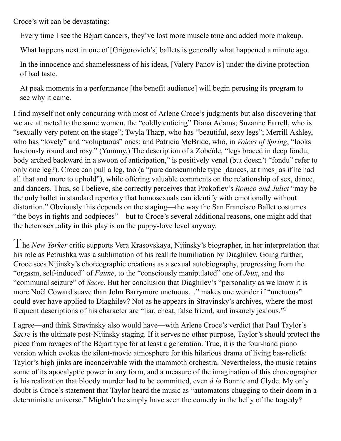Croce's wit can be devastating:

Every time I see the Béjart dancers, they've lost more muscle tone and added more makeup.

What happens next in one of [Grigorovich's] ballets is generally what happened a minute ago.

In the innocence and shamelessness of his ideas, [Valery Panov is] under the divine protection of bad taste.

At peak moments in a performance [the benefit audience] will begin perusing its program to see why it came.

I find myself not only concurring with most of Arlene Croce's judgments but also discovering that we are attracted to the same women, the "coldly enticing" Diana Adams; Suzanne Farrell, who is "sexually very potent on the stage"; Twyla Tharp, who has "beautiful, sexy legs"; Merrill Ashley, who has "lovely" and "voluptuous" ones; and Patricia McBride, who, in *Voices of Spring*, "looks lusciously round and rosy." (Yummy.) The description of a Zobeïde, "legs braced in deep fondu, body arched backward in a swoon of anticipation," is positively venal (but doesn't "fondu" refer to only one leg?). Croce can pull a leg, too (a "pure danseurnoble type [dances, at times] as if he had all that and more to uphold"), while offering valuable comments on the relationship of sex, dance, and dancers. Thus, so I believe, she correctly perceives that Prokofiev's *Romeo and Juliet* "may be the only ballet in standard repertory that homosexuals can identify with emotionally without distortion." Obviously this depends on the staging—the way the San Francisco Ballet costumes "the boys in tights and codpieces"—but to Croce's several additional reasons, one might add that the heterosexuality in this play is on the puppy-love level anyway.

T he *New Yorker* critic supports Vera Krasovskaya, Nijinsky's biographer, in her interpretation that his role as Petrushka was a sublimation of his reallife humiliation by Diaghilev. Going further, Croce sees Nijinsky's choreographic creations as a sexual autobiography, progressing from the "orgasm, self-induced" of *Faune*, to the "consciously manipulated" one of *Jeux*, and the "communal seizure" of *Sacre*. But her conclusion that Diaghilev's "personality as we know it is more Noël Coward suave than John Barrymore unctuous…" makes one wonder if "unctuous" could ever have applied to Diaghilev? Not as he appears in Stravinsky's archives, where the most frequent descriptions of his character are "liar, cheat, false friend, and insanely jealous."<sup>[2](http://www.nybooks.com/articles/archives/1982/aug/12/keeping-up-with-mr-b/?pagination=false&printpage=true#fn2-929706966)</sup>

I agree—and think Stravinsky also would have—with Arlene Croce's verdict that Paul Taylor's *Sacre* is the ultimate post-Nijinsky staging. If it serves no other purpose, Taylor's should protect the piece from ravages of the Béjart type for at least a generation. True, it is the four-hand piano version which evokes the silent-movie atmosphere for this hilarious drama of living bas-reliefs: Taylor's high jinks are inconceivable with the mammoth orchestra. Nevertheless, the music retains some of its apocalyptic power in any form, and a measure of the imagination of this choreographer is his realization that bloody murder had to be committed, even *à la* Bonnie and Clyde. My only doubt is Croce's statement that Taylor heard the music as "automatons chugging to their doom in a deterministic universe." Mightn't he simply have seen the comedy in the belly of the tragedy?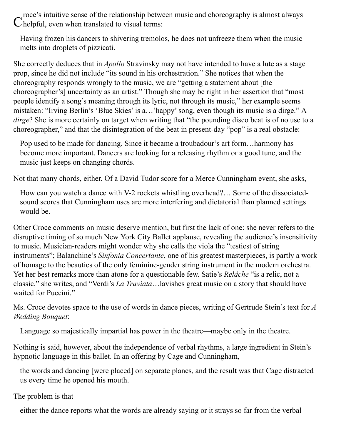roce's intuitive sense of the relationship between music and choreography is almost always  $\mathbf C$  helpful, even when translated to visual terms:

Having frozen his dancers to shivering tremolos, he does not unfreeze them when the music melts into droplets of pizzicati.

She correctly deduces that in *Apollo* Stravinsky may not have intended to have a lute as a stage prop, since he did not include "its sound in his orchestration." She notices that when the choreography responds wrongly to the music, we are "getting a statement about [the choreographer's] uncertainty as an artist." Though she may be right in her assertion that "most people identify a song's meaning through its lyric, not through its music," her example seems mistaken: "Irving Berlin's 'Blue Skies' is a…'happy' song, even though its music is a dirge." A *dirge*? She is more certainly on target when writing that "the pounding disco beat is of no use to a choreographer," and that the disintegration of the beat in present-day "pop" is a real obstacle:

Pop used to be made for dancing. Since it became a troubadour's art form…harmony has become more important. Dancers are looking for a releasing rhythm or a good tune, and the music just keeps on changing chords.

Not that many chords, either. Of a David Tudor score for a Merce Cunningham event, she asks,

How can you watch a dance with V-2 rockets whistling overhead?… Some of the dissociatedsound scores that Cunningham uses are more interfering and dictatorial than planned settings would be.

Other Croce comments on music deserve mention, but first the lack of one: she never refers to the disruptive timing of so much New York City Ballet applause, revealing the audience's insensitivity to music. Musician-readers might wonder why she calls the viola the "testiest of string instruments"; Balanchine's *Sinfonia Concertante*, one of his greatest masterpieces, is partly a work of homage to the beauties of the only feminine-gender string instrument in the modern orchestra. Yet her best remarks more than atone for a questionable few. Satie's *Relâche* "is a relic, not a classic," she writes, and "Verdi's *La Traviata*…lavishes great music on a story that should have waited for Puccini."

Ms. Croce devotes space to the use of words in dance pieces, writing of Gertrude Stein's text for *A Wedding Bouquet*:

Language so majestically impartial has power in the theatre—maybe only in the theatre.

Nothing is said, however, about the independence of verbal rhythms, a large ingredient in Stein's hypnotic language in this ballet. In an offering by Cage and Cunningham,

the words and dancing [were placed] on separate planes, and the result was that Cage distracted us every time he opened his mouth.

The problem is that

either the dance reports what the words are already saying or it strays so far from the verbal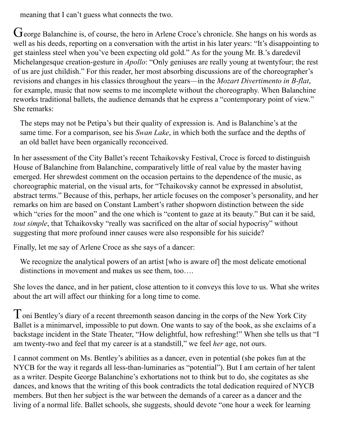meaning that I can't guess what connects the two.

G eorge Balanchine is, of course, the hero in Arlene Croce's chronicle. She hangs on his words as well as his deeds, reporting on a conversation with the artist in his later years: "It's disappointing to get stainless steel when you've been expecting old gold." As for the young Mr. B.'s daredevil Michelangesque creation-gesture in *Apollo*: "Only geniuses are really young at twentyfour; the rest of us are just childish." For this reader, her most absorbing discussions are of the choreographer's revisions and changes in his classics throughout the years—in the *Mozart Divertimento in B-flat*, for example, music that now seems to me incomplete without the choreography. When Balanchine reworks traditional ballets, the audience demands that he express a "contemporary point of view." She remarks:

The steps may not be Petipa's but their quality of expression is. And is Balanchine's at the same time. For a comparison, see his *Swan Lake*, in which both the surface and the depths of an old ballet have been organically reconceived.

In her assessment of the City Ballet's recent Tchaikovsky Festival, Croce is forced to distinguish House of Balanchine from Balanchine, comparatively little of real value by the master having emerged. Her shrewdest comment on the occasion pertains to the dependence of the music, as choreographic material, on the visual arts, for "Tchaikovsky cannot be expressed in absolutist, abstract terms." Because of this, perhaps, her article focuses on the composer's personality, and her remarks on him are based on Constant Lambert's rather shopworn distinction between the side which "cries for the moon" and the one which is "content to gaze at its beauty." But can it be said, *tout simple*, that Tchaikovsky "really was sacrificed on the altar of social hypocrisy" without suggesting that more profound inner causes were also responsible for his suicide?

Finally, let me say of Arlene Croce as she says of a dancer:

We recognize the analytical powers of an artist [who is aware of] the most delicate emotional distinctions in movement and makes us see them, too....

She loves the dance, and in her patient, close attention to it conveys this love to us. What she writes about the art will affect our thinking for a long time to come.

T oni Bentley's diary of a recent threemonth season dancing in the corps of the New York City Ballet is a minimarvel, impossible to put down. One wants to say of the book, as she exclaims of a backstage incident in the State Theater, "How delightful, how refreshing!" When she tells us that "I am twenty-two and feel that my career is at a standstill," we feel *her* age, not ours.

I cannot comment on Ms. Bentley's abilities as a dancer, even in potential (she pokes fun at the NYCB for the way it regards all less-than-luminaries as "potential"). But I am certain of her talent as a writer. Despite George Balanchine's exhortations not to think but to do, she cogitates as she dances, and knows that the writing of this book contradicts the total dedication required of NYCB members. But then her subject is the war between the demands of a career as a dancer and the living of a normal life. Ballet schools, she suggests, should devote "one hour a week for learning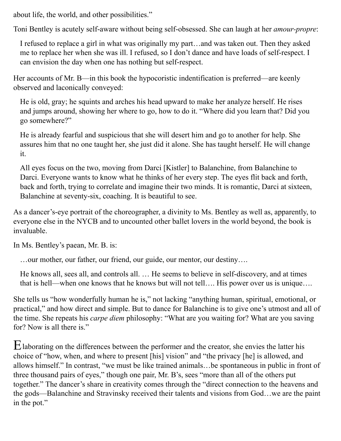about life, the world, and other possibilities."

Toni Bentley is acutely self-aware without being self-obsessed. She can laugh at her *amour-propre*:

I refused to replace a girl in what was originally my part…and was taken out. Then they asked me to replace her when she was ill. I refused, so I don't dance and have loads of self-respect. I can envision the day when one has nothing but self-respect.

Her accounts of Mr. B—in this book the hypocoristic indentification is preferred—are keenly observed and laconically conveyed:

He is old, gray; he squints and arches his head upward to make her analyze herself. He rises and jumps around, showing her where to go, how to do it. "Where did you learn that? Did you go somewhere?"

He is already fearful and suspicious that she will desert him and go to another for help. She assures him that no one taught her, she just did it alone. She has taught herself. He will change it.

All eyes focus on the two, moving from Darci [Kistler] to Balanchine, from Balanchine to Darci. Everyone wants to know what he thinks of her every step. The eyes flit back and forth, back and forth, trying to correlate and imagine their two minds. It is romantic, Darci at sixteen, Balanchine at seventy-six, coaching. It is beautiful to see.

As a dancer's-eye portrait of the choreographer, a divinity to Ms. Bentley as well as, apparently, to everyone else in the NYCB and to uncounted other ballet lovers in the world beyond, the book is invaluable.

In Ms. Bentley's paean, Mr. B. is:

…our mother, our father, our friend, our guide, our mentor, our destiny….

He knows all, sees all, and controls all. … He seems to believe in self-discovery, and at times that is hell—when one knows that he knows but will not tell…. His power over us is unique….

She tells us "how wonderfully human he is," not lacking "anything human, spiritual, emotional, or practical," and how direct and simple. But to dance for Balanchine is to give one's utmost and all of the time. She repeats his *carpe diem* philosophy: "What are you waiting for? What are you saving for? Now is all there is."

E laborating on the differences between the performer and the creator, she envies the latter his choice of "how, when, and where to present [his] vision" and "the privacy [he] is allowed, and allows himself." In contrast, "we must be like trained animals…be spontaneous in public in front of three thousand pairs of eyes," though one pair, Mr. B's, sees "more than all of the others put together." The dancer's share in creativity comes through the "direct connection to the heavens and the gods—Balanchine and Stravinsky received their talents and visions from God…we are the paint in the pot."